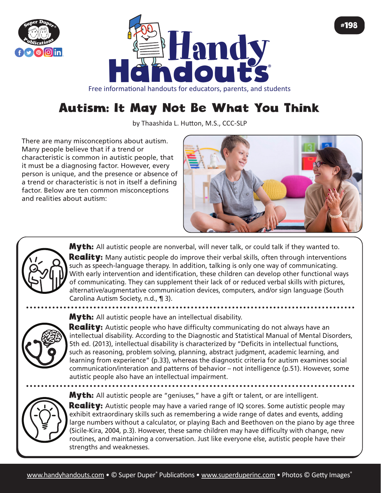



## Free informational handouts for educators, parents, and students

## Autism: It May Not Be What You Think

by Thaashida L. Hutton, M.S., CCC-SLP

There are many misconceptions about autism. Many people believe that if a trend or characteristic is common in autistic people, that it must be a diagnosing factor. However, every person is unique, and the presence or absence of a trend or characteristic is not in itself a defining factor. Below are ten common misconceptions and realities about autism:





**Myth:** All autistic people are nonverbal, will never talk, or could talk if they wanted to. Reality: Many autistic people do improve their verbal skills, often through interventions such as speech-language therapy. In addition, talking is only one way of communicating. With early intervention and identification, these children can develop other functional ways of communicating. They can supplement their lack of or reduced verbal skills with pictures, alternative/augmentative communication devices, computers, and/or sign language (South Carolina Autism Society, n.d., ¶ 3).

**Myth:** All autistic people have an intellectual disability.

**Reality:** Autistic people who have difficulty communicating do not always have an intellectual disability. According to the Diagnostic and Statistical Manual of Mental Disorders, 5th ed. (2013), intellectual disability is characterized by "Deficits in intellectual functions, such as reasoning, problem solving, planning, abstract judgment, academic learning, and learning from experience" (p.33), whereas the diagnostic criteria for autism examines social communication/interation and patterns of behavior – not intelligence (p.51). However, some autistic people also have an intellectual impairment.

Myth: All autistic people are "geniuses," have a gift or talent, or are intelligent.



**Reality:** Autistic people may have a varied range of IQ scores. Some autistic people may exhibit extraordinary skills such as remembering a wide range of dates and events, adding large numbers without a calculator, or playing Bach and Beethoven on the piano by age three (Sicile-Kira, 2004, p.3). However, these same children may have difficulty with change, new routines, and maintaining a conversation. Just like everyone else, autistic people have their strengths and weaknesses.

#198